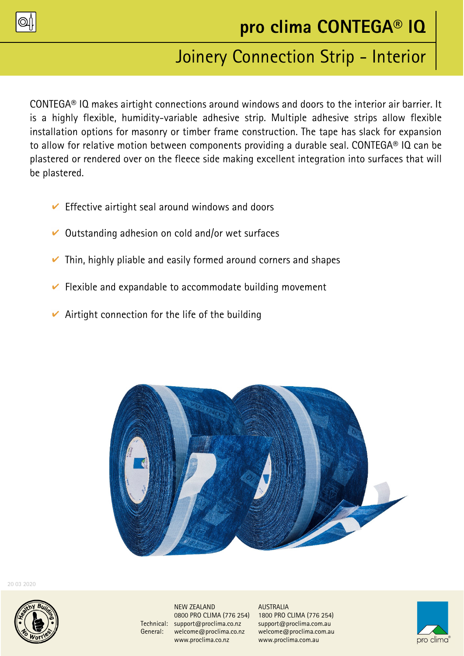

# Joinery Connection Strip - Interior

CONTEGA® IQ makes airtight connections around windows and doors to the interior air barrier. It is a highly flexible, humidity-variable adhesive strip. Multiple adhesive strips allow flexible installation options for masonry or timber frame construction. The tape has slack for expansion to allow for relative motion between components providing a durable seal. CONTEGA® IQ can be plastered or rendered over on the fleece side making excellent integration into surfaces that will be plastered.

- $\vee$  Effective airtight seal around windows and doors
- $\vee$  Outstanding adhesion on cold and/or wet surfaces
- $\triangleright$  Thin, highly pliable and easily formed around corners and shapes
- $\vee$  Flexible and expandable to accommodate building movement
- $\vee$  Airtight connection for the life of the building



20 03 2020



NEW ZEALAND<br>0800 PRO CLIMA (776 254) 1800 PRO CLIMA (776 254) 0800 PRO CLIMA (776 254) 1800 PRO CLIMA (776 254) Technical: support@proclima.co.nz support@proclima.com.au General: welcome@proclima.co.nz welcome@proclima.com.au www.proclima.co.nz www.proclima.com.au